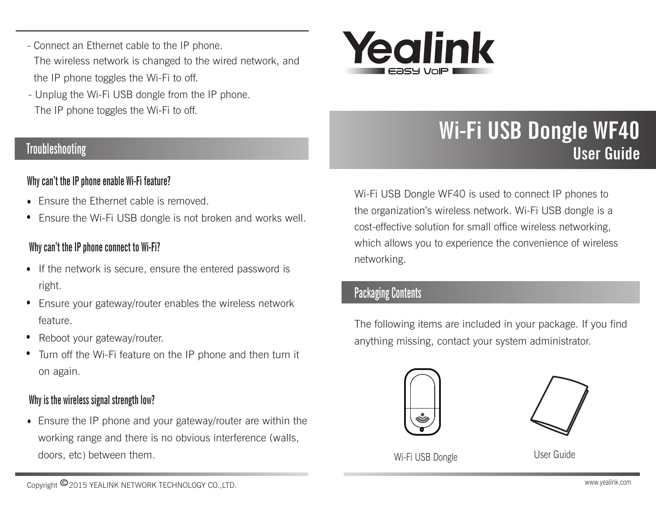- Connect an Ethernet cable to the IP phone. The wireless network is changed to the wired network, and the IP phone toggles the Wi-Fi to off.
- Unplug the Wi-Fi USB dongle from the IP phone. The IP phone toggles the Wi-Fi to off.

# **Troubleshooting**

### Why can't the IP phone enable Wi-Fi feature?

- Ensure the Ethernet cable is removed.
- Ensure the Wi-Fi USB dongle is not broken and works well.

#### Why can't the IP phone connect to Wi-Fi?

- If the network is secure, ensure the entered password is right.
- Ensure your gateway/router enables the wireless network feature.
- Reboot your gateway/router.
- Turn off the Wi-Fi feature on the IP phone and then turn it on again.

### Why is the wireless signal strength low?

Ensure the IP phone and your gateway/router are within the working range and there is no obvious interference (walls, doors, etc) between them.



# Wi-Fi USB Dongle WF40 User Guide

Wi-Fi USB Dongle WF40 is used to connect IP phones to the organization's wireless network. Wi-Fi USB dongle is a cost-effective solution for small office wireless networking, which allows you to experience the convenience of wireless networking.

# Packaging Contents

The following items are included in your package. If you find anything missing, contact your system administrator.





Wi-Fi USB Dongle User Guide